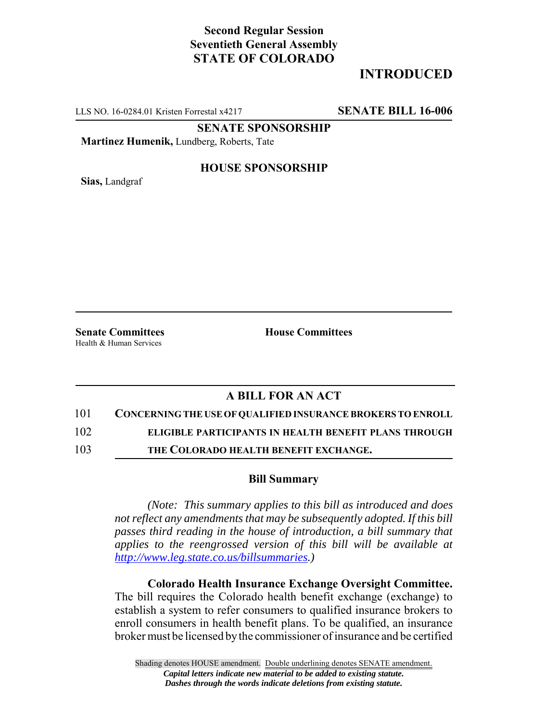# **Second Regular Session Seventieth General Assembly STATE OF COLORADO**

# **INTRODUCED**

LLS NO. 16-0284.01 Kristen Forrestal x4217 **SENATE BILL 16-006**

**SENATE SPONSORSHIP**

**Martinez Humenik,** Lundberg, Roberts, Tate

**Sias,** Landgraf

### **HOUSE SPONSORSHIP**

Health & Human Services

**Senate Committees House Committees** 

## **A BILL FOR AN ACT**

#### 101 **CONCERNING THE USE OF QUALIFIED INSURANCE BROKERS TO ENROLL**

102 **ELIGIBLE PARTICIPANTS IN HEALTH BENEFIT PLANS THROUGH**

103 **THE COLORADO HEALTH BENEFIT EXCHANGE.**

### **Bill Summary**

*(Note: This summary applies to this bill as introduced and does not reflect any amendments that may be subsequently adopted. If this bill passes third reading in the house of introduction, a bill summary that applies to the reengrossed version of this bill will be available at http://www.leg.state.co.us/billsummaries.)*

**Colorado Health Insurance Exchange Oversight Committee.** The bill requires the Colorado health benefit exchange (exchange) to establish a system to refer consumers to qualified insurance brokers to enroll consumers in health benefit plans. To be qualified, an insurance broker must be licensed by the commissioner of insurance and be certified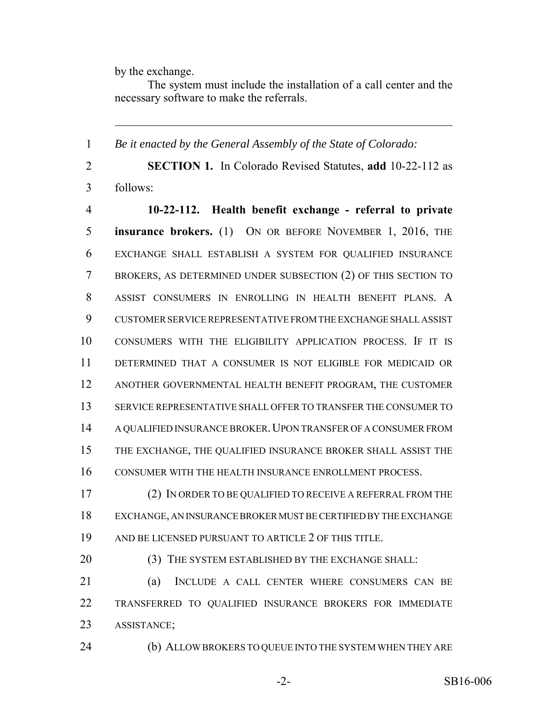by the exchange.

The system must include the installation of a call center and the necessary software to make the referrals.

 *Be it enacted by the General Assembly of the State of Colorado:* **SECTION 1.** In Colorado Revised Statutes, **add** 10-22-112 as follows: **10-22-112. Health benefit exchange - referral to private insurance brokers.** (1) ON OR BEFORE NOVEMBER 1, 2016, THE EXCHANGE SHALL ESTABLISH A SYSTEM FOR QUALIFIED INSURANCE BROKERS, AS DETERMINED UNDER SUBSECTION (2) OF THIS SECTION TO ASSIST CONSUMERS IN ENROLLING IN HEALTH BENEFIT PLANS. A CUSTOMER SERVICE REPRESENTATIVE FROM THE EXCHANGE SHALL ASSIST CONSUMERS WITH THE ELIGIBILITY APPLICATION PROCESS. IF IT IS DETERMINED THAT A CONSUMER IS NOT ELIGIBLE FOR MEDICAID OR ANOTHER GOVERNMENTAL HEALTH BENEFIT PROGRAM, THE CUSTOMER SERVICE REPRESENTATIVE SHALL OFFER TO TRANSFER THE CONSUMER TO 14 A QUALIFIED INSURANCE BROKER. UPON TRANSFER OF A CONSUMER FROM THE EXCHANGE, THE QUALIFIED INSURANCE BROKER SHALL ASSIST THE CONSUMER WITH THE HEALTH INSURANCE ENROLLMENT PROCESS. (2) IN ORDER TO BE QUALIFIED TO RECEIVE A REFERRAL FROM THE EXCHANGE, AN INSURANCE BROKER MUST BE CERTIFIED BY THE EXCHANGE AND BE LICENSED PURSUANT TO ARTICLE 2 OF THIS TITLE. 20 (3) THE SYSTEM ESTABLISHED BY THE EXCHANGE SHALL: (a) INCLUDE A CALL CENTER WHERE CONSUMERS CAN BE TRANSFERRED TO QUALIFIED INSURANCE BROKERS FOR IMMEDIATE ASSISTANCE;

(b) ALLOW BROKERS TO QUEUE INTO THE SYSTEM WHEN THEY ARE